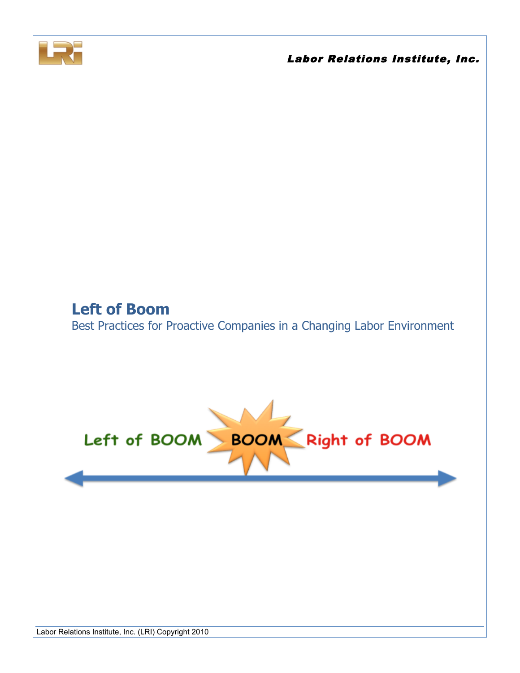

# **Left of Boom** Best Practices for Proactive Companies in a Changing Labor Environment

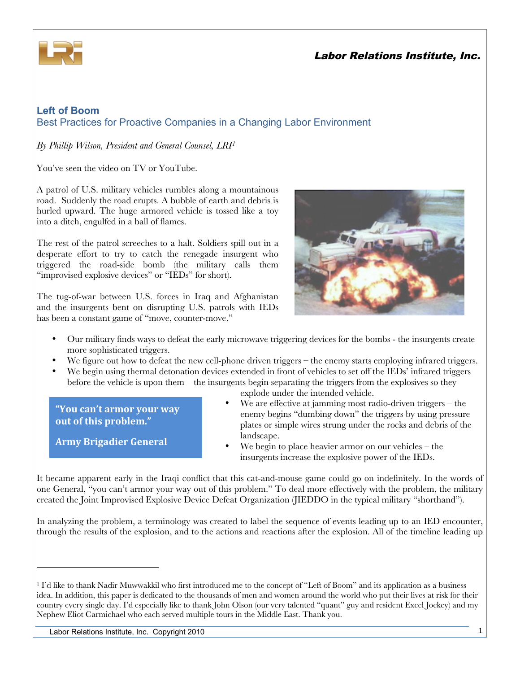

### **Left of Boom** Best Practices for Proactive Companies in a Changing Labor Environment

*By Phillip Wilson, President and General Counsel, LRI1*

You've seen the video on TV or YouTube.

A patrol of U.S. military vehicles rumbles along a mountainous road. Suddenly the road erupts. A bubble of earth and debris is hurled upward. The huge armored vehicle is tossed like a toy into a ditch, engulfed in a ball of flames.

The rest of the patrol screeches to a halt. Soldiers spill out in a desperate effort to try to catch the renegade insurgent who triggered the road-side bomb (the military calls them "improvised explosive devices" or "IEDs" for short).

The tug-of-war between U.S. forces in Iraq and Afghanistan and the insurgents bent on disrupting U.S. patrols with IEDs has been a constant game of "move, counter-move."



- Our military finds ways to defeat the early microwave triggering devices for the bombs the insurgents create more sophisticated triggers.
- We figure out how to defeat the new cell-phone driven triggers the enemy starts employing infrared triggers.
- We begin using thermal detonation devices extended in front of vehicles to set off the IEDs' infrared triggers before the vehicle is upon them – the insurgents begin separating the triggers from the explosives so they

**"You%can't%armor%your%way% out of this problem."** 

**Army%Brigadier%General**

!!!!!!!!!!!!!!!!!!!!!!!!!!!!!!!!!!!!!!!!!!!!!!!!!!!!!!!

- explode under the intended vehicle. We are effective at jamming most radio-driven triggers  $-$  the
- enemy begins "dumbing down" the triggers by using pressure plates or simple wires strung under the rocks and debris of the landscape.
	- We begin to place heavier armor on our vehicles  $-$  the insurgents increase the explosive power of the IEDs.

It became apparent early in the Iraqi conflict that this cat-and-mouse game could go on indefinitely. In the words of one General, "you can't armor your way out of this problem." To deal more effectively with the problem, the military created the Joint Improvised Explosive Device Defeat Organization (JIEDDO in the typical military "shorthand").

In analyzing the problem, a terminology was created to label the sequence of events leading up to an IED encounter, through the results of the explosion, and to the actions and reactions after the explosion. All of the timeline leading up

<sup>&</sup>lt;sup>1</sup> I'd like to thank Nadir Muwwakkil who first introduced me to the concept of "Left of Boom" and its application as a business idea. In addition, this paper is dedicated to the thousands of men and women around the world who put their lives at risk for their country every single day. I'd especially like to thank John Olson (our very talented "quant" guy and resident Excel Jockey) and my Nephew Eliot Carmichael who each served multiple tours in the Middle East. Thank you.

Labor Relations Institute, Inc. Copyright 2010 1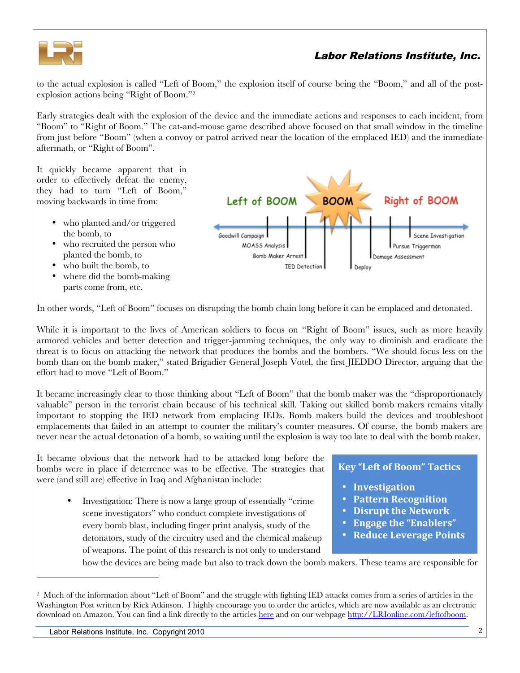

to the actual explosion is called "Left of Boom," the explosion itself of course being the "Boom," and all of the postexplosion actions being "Right of Boom."2

Early strategies dealt with the explosion of the device and the immediate actions and responses to each incident, from "Boom" to "Right of Boom." The cat-and-mouse game described above focused on that small window in the timeline from just before "Boom" (when a convoy or patrol arrived near the location of the emplaced IED) and the immediate aftermath, or "Right of Boom".

It quickly became apparent that in order to effectively defeat the enemy, they had to turn "Left of Boom," moving backwards in time from:

- who planted and/or triggered the bomb, to
- who recruited the person who planted the bomb, to
- who built the bomb, to
- where did the bomb-making parts come from, etc.



In other words, "Left of Boom" focuses on disrupting the bomb chain long before it can be emplaced and detonated.

While it is important to the lives of American soldiers to focus on "Right of Boom" issues, such as more heavily armored vehicles and better detection and trigger-jamming techniques, the only way to diminish and eradicate the threat is to focus on attacking the network that produces the bombs and the bombers. "We should focus less on the bomb than on the bomb maker," stated Brigadier General Joseph Votel, the first JIEDDO Director, arguing that the effort had to move "Left of Boom."

It became increasingly clear to those thinking about "Left of Boom" that the bomb maker was the "disproportionately valuable" person in the terrorist chain because of his technical skill. Taking out skilled bomb makers remains vitally important to stopping the IED network from emplacing IEDs. Bomb makers build the devices and troubleshoot emplacements that failed in an attempt to counter the military's counter measures. Of course, the bomb makers are never near the actual detonation of a bomb, so waiting until the explosion is way too late to deal with the bomb maker.

It became obvious that the network had to be attacked long before the bombs were in place if deterrence was to be effective. The strategies that were (and still are) effective in Iraq and Afghanistan include:

> • Investigation: There is now a large group of essentially "crime scene investigators" who conduct complete investigations of every bomb blast, including finger print analysis, study of the detonators, study of the circuitry used and the chemical makeup of weapons. The point of this research is not only to understand

### **Key "Left of Boom" Tactics**

- **Investigation**
- **Pattern%Recognition**
- **Disrupt the Network**
- **Engage the "Enablers"**
- Reduce Leverage Points

how the devices are being made but also to track down the bomb makers. These teams are responsible for

!!!!!!!!!!!!!!!!!!!!!!!!!!!!!!!!!!!!!!!!!!!!!!!!!!!!!!!

<sup>2</sup> Much of the information about "Left of Boom" and the struggle with fighting IED attacks comes from a series of articles in the Washington Post written by Rick Atkinson. I highly encourage you to order the articles, which are now available as an electronic download on Amazon. You can find a link directly to the article[s here a](http://www.amazon.com/Left-Boom-Struggle-Roadside-Afgthanistan/dp/B000WYZ7VQ/ref=sr_1_1?ie=UTF8&s=books&qid=1267557669&sr=8-1)nd on our webpage http://LRIonline.com/leftofboom.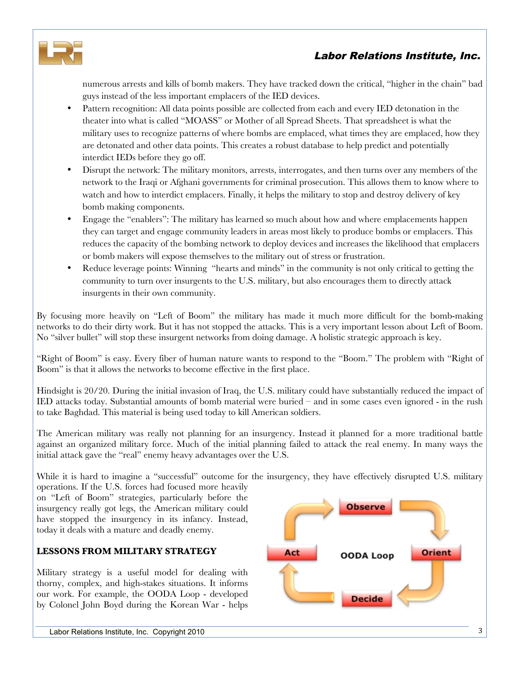

numerous arrests and kills of bomb makers. They have tracked down the critical, "higher in the chain" bad guys instead of the less important emplacers of the IED devices.

- Pattern recognition: All data points possible are collected from each and every IED detonation in the theater into what is called "MOASS" or Mother of all Spread Sheets. That spreadsheet is what the military uses to recognize patterns of where bombs are emplaced, what times they are emplaced, how they are detonated and other data points. This creates a robust database to help predict and potentially interdict IEDs before they go off.
- Disrupt the network: The military monitors, arrests, interrogates, and then turns over any members of the network to the Iraqi or Afghani governments for criminal prosecution. This allows them to know where to watch and how to interdict emplacers. Finally, it helps the military to stop and destroy delivery of key bomb making components.
- Engage the "enablers": The military has learned so much about how and where emplacements happen they can target and engage community leaders in areas most likely to produce bombs or emplacers. This reduces the capacity of the bombing network to deploy devices and increases the likelihood that emplacers or bomb makers will expose themselves to the military out of stress or frustration.
- Reduce leverage points: Winning "hearts and minds" in the community is not only critical to getting the community to turn over insurgents to the U.S. military, but also encourages them to directly attack insurgents in their own community.

By focusing more heavily on "Left of Boom" the military has made it much more difficult for the bomb-making networks to do their dirty work. But it has not stopped the attacks. This is a very important lesson about Left of Boom. No "silver bullet" will stop these insurgent networks from doing damage. A holistic strategic approach is key.

"Right of Boom" is easy. Every fiber of human nature wants to respond to the "Boom." The problem with "Right of Boom" is that it allows the networks to become effective in the first place.

Hindsight is 20/20. During the initial invasion of Iraq, the U.S. military could have substantially reduced the impact of IED attacks today. Substantial amounts of bomb material were buried – and in some cases even ignored - in the rush to take Baghdad. This material is being used today to kill American soldiers.

The American military was really not planning for an insurgency. Instead it planned for a more traditional battle against an organized military force. Much of the initial planning failed to attack the real enemy. In many ways the initial attack gave the "real" enemy heavy advantages over the U.S.

While it is hard to imagine a "successful" outcome for the insurgency, they have effectively disrupted U.S. military

operations. If the U.S. forces had focused more heavily on "Left of Boom" strategies, particularly before the insurgency really got legs, the American military could have stopped the insurgency in its infancy. Instead, today it deals with a mature and deadly enemy.

### **LESSONS FROM MILITARY STRATEGY**

Military strategy is a useful model for dealing with thorny, complex, and high-stakes situations. It informs our work. For example, the OODA Loop - developed by Colonel John Boyd during the Korean War - helps

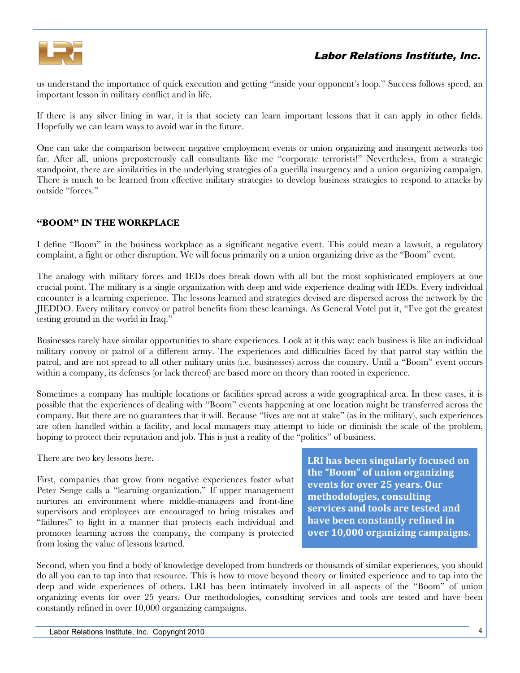

us understand the importance of quick execution and getting "inside your opponent's loop." Success follows speed, an important lesson in military conflict and in life.

If there is any silver lining in war, it is that society can learn important lessons that it can apply in other fields. Hopefully we can learn ways to avoid war in the future.

One can take the comparison between negative employment events or union organizing and insurgent networks too far. After all, unions preposterously call consultants like me "corporate terrorists!" Nevertheless, from a strategic standpoint, there are similarities in the underlying strategies of a guerilla insurgency and a union organizing campaign. There is much to be learned from effective military strategies to develop business strategies to respond to attacks by outside "forces."

### **"BOOM" IN THE WORKPLACE**

I define "Boom" in the business workplace as a significant negative event. This could mean a lawsuit, a regulatory complaint, a fight or other disruption. We will focus primarily on a union organizing drive as the "Boom" event.

The analogy with military forces and IEDs does break down with all but the most sophisticated employers at one crucial point. The military is a single organization with deep and wide experience dealing with IEDs. Every individual encounter is a learning experience. The lessons learned and strategies devised are dispersed across the network by the JIEDDO. Every military convoy or patrol benefits from these learnings. As General Votel put it, "I've got the greatest testing ground in the world in Iraq."

Businesses rarely have similar opportunities to share experiences. Look at it this way: each business is like an individual military convoy or patrol of a different army. The experiences and difficulties faced by that patrol stay within the patrol, and are not spread to all other military units (i.e. businesses) across the country. Until a "Boom" event occurs within a company, its defenses (or lack thereof) are based more on theory than rooted in experience.

Sometimes a company has multiple locations or facilities spread across a wide geographical area. In these cases, it is possible that the experiences of dealing with "Boom" events happening at one location might be transferred across the company. But there are no guarantees that it will. Because "lives are not at stake" (as in the military), such experiences are often handled within a facility, and local managers may attempt to hide or diminish the scale of the problem, hoping to protect their reputation and job. This is just a reality of the "politics" of business.

There are two key lessons here.

First, companies that grow from negative experiences foster what [Peter Senge calls a "learning organization."](http://www.amazon.com/Fifth-Discipline-Practice-Learning-Organization/dp/0385517254/ref=sr_1_1?ie=UTF8&s=books&qid=1270141287&sr=1-1) If upper management nurtures an environment where middle-managers and front-line supervisors and employees are encouraged to bring mistakes and "failures" to light in a manner that protects each individual and promotes learning across the company, the company is protected from losing the value of lessons learned.

**LRI has been singularly focused on** the "Boom" of union organizing **events for over 25 years. Our methodologies,%consulting%** services and tools are tested and **have been constantly refined in over 10,000 organizing campaigns.** 

Second, when you find a body of knowledge developed from hundreds or thousands of similar experiences, you should do all you can to tap into that resource. This is how to move beyond theory or limited experience and to tap into the deep and wide experiences of others. LRI has been intimately involved in all aspects of the "Boom" of union organizing events for over 25 years. Our methodologies, consulting services and tools are tested and have been constantly refined in over 10,000 organizing campaigns.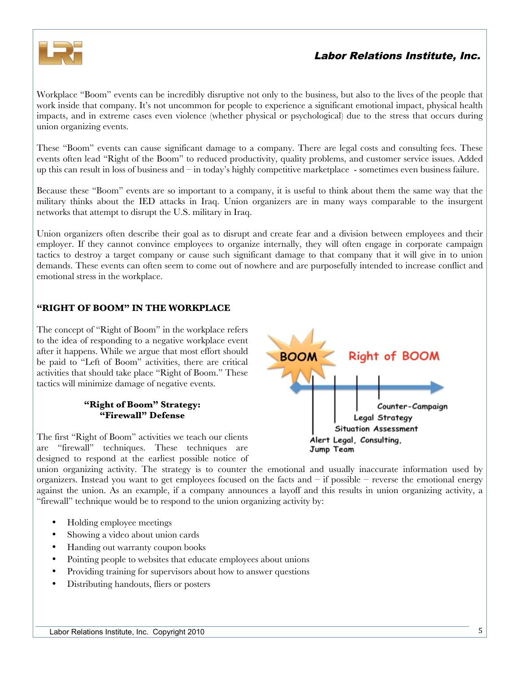

Workplace "Boom" events can be incredibly disruptive not only to the business, but also to the lives of the people that work inside that company. It's not uncommon for people to experience a significant emotional impact, physical health impacts, and in extreme cases even violence (whether physical or psychological) due to the stress that occurs during union organizing events.

These "Boom" events can cause significant damage to a company. There are legal costs and consulting fees. These events often lead "Right of the Boom" to reduced productivity, quality problems, and customer service issues. Added up this can result in loss of business and – in today's highly competitive marketplace - sometimes even business failure.

Because these "Boom" events are so important to a company, it is useful to think about them the same way that the military thinks about the IED attacks in Iraq. Union organizers are in many ways comparable to the insurgent networks that attempt to disrupt the U.S. military in Iraq.

Union organizers often describe their goal as to disrupt and create fear and a division between employees and their employer. If they cannot convince employees to organize internally, they will often engage in corporate campaign tactics to destroy a target company or cause such significant damage to that company that it will give in to union demands. These events can often seem to come out of nowhere and are purposefully intended to increase conflict and emotional stress in the workplace.

### **"RIGHT OF BOOM" IN THE WORKPLACE**

The concept of "Right of Boom" in the workplace refers to the idea of responding to a negative workplace event after it happens. While we argue that most effort should be paid to "Left of Boom" activities, there are critical activities that should take place "Right of Boom." These tactics will minimize damage of negative events.

#### **"Right of Boom" Strategy: "Firewall" Defense**

The first "Right of Boom" activities we teach our clients are "firewall" techniques. These techniques are designed to respond at the earliest possible notice of



union organizing activity. The strategy is to counter the emotional and usually inaccurate information used by organizers. Instead you want to get employees focused on the facts and  $-$  if possible  $-$  reverse the emotional energy against the union. As an example, if a company announces a layoff and this results in union organizing activity, a "firewall" technique would be to respond to the union organizing activity by:

- Holding employee meetings
- Showing a video about union cards
- Handing out warranty coupon books
- Pointing people to websites that educate employees about unions
- Providing training for supervisors about how to answer questions
- Distributing handouts, fliers or posters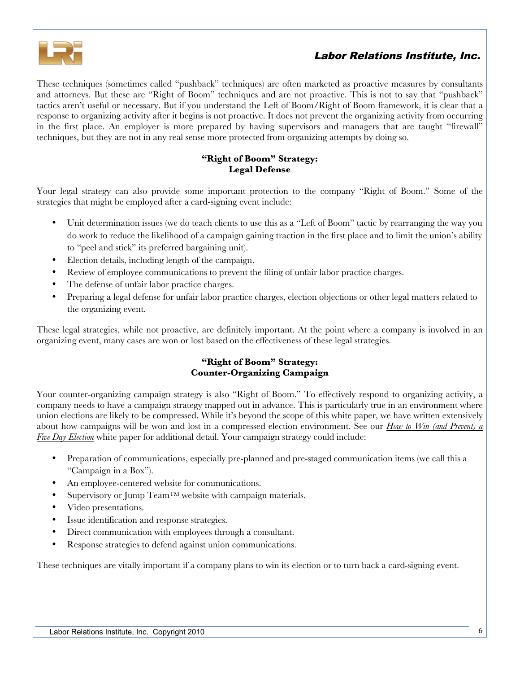

These techniques (sometimes called "pushback" techniques) are often marketed as proactive measures by consultants and attorneys. But these are "Right of Boom" techniques and are not proactive. This is not to say that "pushback" tactics aren't useful or necessary. But if you understand the Left of Boom/Right of Boom framework, it is clear that a response to organizing activity after it begins is not proactive. It does not prevent the organizing activity from occurring in the first place. An employer is more prepared by having supervisors and managers that are taught "firewall" techniques, but they are not in any real sense more protected from organizing attempts by doing so.

#### **"Right of Boom" Strategy: Legal Defense**

Your legal strategy can also provide some important protection to the company "Right of Boom." Some of the strategies that might be employed after a card-signing event include:

- Unit determination issues (we do teach clients to use this as a "Left of Boom" tactic by rearranging the way you do work to reduce the likelihood of a campaign gaining traction in the first place and to limit the union's ability to "peel and stick" its preferred bargaining unit).
- Election details, including length of the campaign.
- Review of employee communications to prevent the filing of unfair labor practice charges.
- The defense of unfair labor practice charges.
- Preparing a legal defense for unfair labor practice charges, election objections or other legal matters related to the organizing event.

These legal strategies, while not proactive, are definitely important. At the point where a company is involved in an organizing event, many cases are won or lost based on the effectiveness of these legal strategies.

### **"Right of Boom" Strategy: Counter-Organizing Campaign**

Your counter-organizing campaign strategy is also "Right of Boom." To effectively respond to organizing activity, a company needs to have a campaign strategy mapped out in advance. This is particularly true in an environment where union elections are likely to be compressed. While it's beyond the scope of this white paper, we have written extensively about how campaigns will be won and lost in a compressed election environment. See our *[How to Win \(and Prevent\) a](http://lrionline.com/free-stuff/white-papers/win-5-day-election-white-paper)  [Five Day Election](http://lrionline.com/free-stuff/white-papers/win-5-day-election-white-paper)* white paper for additional detail. Your campaign strategy could include:

- Preparation of communications, especially pre-planned and pre-staged communication items (we call this a "Campaign in a Box").
- An employee-centered website for communications.
- Supervisory or Jump Team<sup>TM</sup> website with campaign materials.
- Video presentations.
- Issue identification and response strategies.
- Direct communication with employees through a consultant.
- Response strategies to defend against union communications.

These techniques are vitally important if a company plans to win its election or to turn back a card-signing event.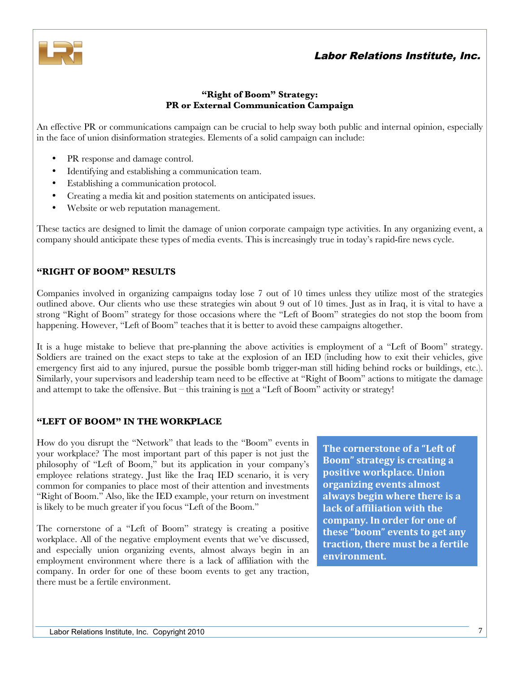

### **"Right of Boom" Strategy: PR or External Communication Campaign**

An effective PR or communications campaign can be crucial to help sway both public and internal opinion, especially in the face of union disinformation strategies. Elements of a solid campaign can include:

- PR response and damage control.
- Identifying and establishing a communication team.
- Establishing a communication protocol.
- Creating a media kit and position statements on anticipated issues.
- Website or web reputation management.

These tactics are designed to limit the damage of union corporate campaign type activities. In any organizing event, a company should anticipate these types of media events. This is increasingly true in today's rapid-fire news cycle.

### **"RIGHT OF BOOM" RESULTS**

Companies involved in organizing campaigns today lose 7 out of 10 times unless they utilize most of the strategies outlined above. Our clients who use these strategies win about 9 out of 10 times. Just as in Iraq, it is vital to have a strong "Right of Boom" strategy for those occasions where the "Left of Boom" strategies do not stop the boom from happening. However, "Left of Boom" teaches that it is better to avoid these campaigns altogether.

It is a huge mistake to believe that pre-planning the above activities is employment of a "Left of Boom" strategy. Soldiers are trained on the exact steps to take at the explosion of an IED (including how to exit their vehicles, give emergency first aid to any injured, pursue the possible bomb trigger-man still hiding behind rocks or buildings, etc.). Similarly, your supervisors and leadership team need to be effective at "Right of Boom" actions to mitigate the damage and attempt to take the offensive. But – this training is not a "Left of Boom" activity or strategy!

### **"LEFT OF BOOM" IN THE WORKPLACE**

How do you disrupt the "Network" that leads to the "Boom" events in your workplace? The most important part of this paper is not just the philosophy of "Left of Boom," but its application in your company's employee relations strategy. Just like the Iraq IED scenario, it is very common for companies to place most of their attention and investments "Right of Boom." Also, like the IED example, your return on investment is likely to be much greater if you focus "Left of the Boom."

The cornerstone of a "Left of Boom" strategy is creating a positive workplace. All of the negative employment events that we've discussed, and especially union organizing events, almost always begin in an employment environment where there is a lack of affiliation with the company. In order for one of these boom events to get any traction, there must be a fertile environment.

**The cornerstone of a "Left of Boom"** strategy is creating a **positive workplace. Union organizing events almost** always begin where there is a **lack of affiliation with the** company. In order for one of these "boom" events to get any **traction, there must be a fertile environment.**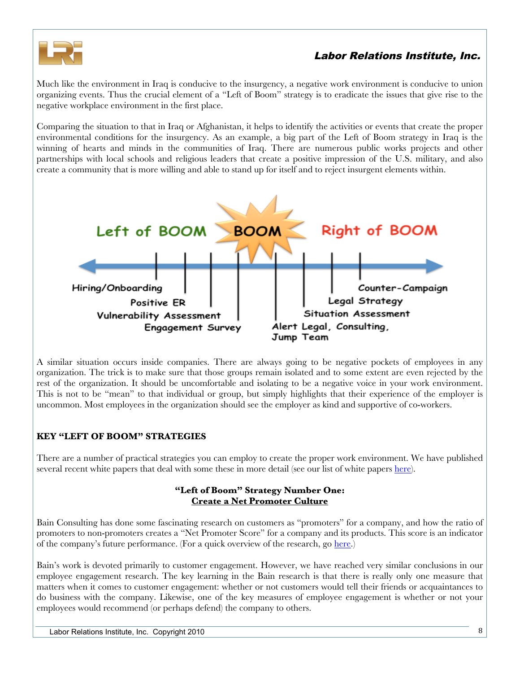

Much like the environment in Iraq is conducive to the insurgency, a negative work environment is conducive to union organizing events. Thus the crucial element of a "Left of Boom" strategy is to eradicate the issues that give rise to the negative workplace environment in the first place.

Comparing the situation to that in Iraq or Afghanistan, it helps to identify the activities or events that create the proper environmental conditions for the insurgency. As an example, a big part of the Left of Boom strategy in Iraq is the winning of hearts and minds in the communities of Iraq. There are numerous public works projects and other partnerships with local schools and religious leaders that create a positive impression of the U.S. military, and also create a community that is more willing and able to stand up for itself and to reject insurgent elements within.



A similar situation occurs inside companies. There are always going to be negative pockets of employees in any organization. The trick is to make sure that those groups remain isolated and to some extent are even rejected by the rest of the organization. It should be uncomfortable and isolating to be a negative voice in your work environment. This is not to be "mean" to that individual or group, but simply highlights that their experience of the employer is uncommon. Most employees in the organization should see the employer as kind and supportive of co-workers.

### **KEY "LEFT OF BOOM" STRATEGIES**

There are a number of practical strategies you can employ to create the proper work environment. We have published several recent white papers that deal with some these in more detail (see our list of white paper[s here\).](http://lrionline.com/free-stuff/white-papers)

#### **"Left of Boom" Strategy Number One: Create a Net Promoter Culture**

Bain Consulting has done some fascinating research on customers as "promoters" for a company, and how the ratio of promoters to non-promoters creates a "Net Promoter Score" for a company and its products. This score is an indicator of the company's future performance. (For a quick overview of the research, g[o here.\)](http://resultsbrief.bain.com/videos/0402/main.html) 

Bain's work is devoted primarily to customer engagement. However, we have reached very similar conclusions in our employee engagement research. The key learning in the Bain research is that there is really only one measure that matters when it comes to customer engagement: whether or not customers would tell their friends or acquaintances to do business with the company. Likewise, one of the key measures of employee engagement is whether or not your employees would recommend (or perhaps defend) the company to others.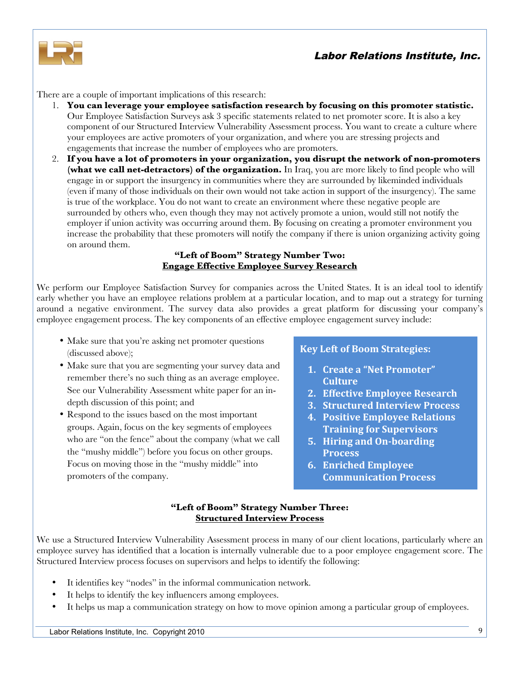

There are a couple of important implications of this research:

- 1. **You can leverage your employee satisfaction research by focusing on this promoter statistic.** Our Employee Satisfaction Surveys ask 3 specific statements related to net promoter score. It is also a key component of our Structured Interview Vulnerability Assessment process. You want to create a culture where your employees are active promoters of your organization, and where you are stressing projects and engagements that increase the number of employees who are promoters.
- 2. **If you have a lot of promoters in your organization, you disrupt the network of non-promoters (what we call net-detractors) of the organization.** In Iraq, you are more likely to find people who will engage in or support the insurgency in communities where they are surrounded by likeminded individuals (even if many of those individuals on their own would not take action in support of the insurgency). The same is true of the workplace. You do not want to create an environment where these negative people are surrounded by others who, even though they may not actively promote a union, would still not notify the employer if union activity was occurring around them. By focusing on creating a promoter environment you increase the probability that these promoters will notify the company if there is union organizing activity going on around them.

#### **"Left of Boom" Strategy Number Two: Engage Effective Employee Survey Research**

We perform our Employee Satisfaction Survey for companies across the United States. It is an ideal tool to identify early whether you have an employee relations problem at a particular location, and to map out a strategy for turning around a negative environment. The survey data also provides a great platform for discussing your company's employee engagement process. The key components of an effective employee engagement survey include:

- Make sure that you're asking net promoter questions (discussed above);
- Make sure that you are segmenting your survey data and remember there's no such thing as an average employee. See our Vulnerability Assessment white paper for an indepth discussion of this point; and
- Respond to the issues based on the most important groups. Again, focus on the key segments of employees who are "on the fence" about the company (what we call the "mushy middle") before you focus on other groups. Focus on moving those in the "mushy middle" into promoters of the company.

### **Key Left of Boom Strategies:**

- **1. Create a "Net Promoter" Culture**
- **2. Effective Employee Research**
- **3. Structured Interview Process**
- **4. Positive Employee Relations Training for Supervisors**
- **5. Hiring and On-boarding Process**
- **6. Enriched Employee Communication%Process**

#### **"Left of Boom" Strategy Number Three: Structured Interview Process**

We use a Structured Interview Vulnerability Assessment process in many of our client locations, particularly where an employee survey has identified that a location is internally vulnerable due to a poor employee engagement score. The Structured Interview process focuses on supervisors and helps to identify the following:

- It identifies key "nodes" in the informal communication network.
- It helps to identify the key influencers among employees.
- It helps us map a communication strategy on how to move opinion among a particular group of employees.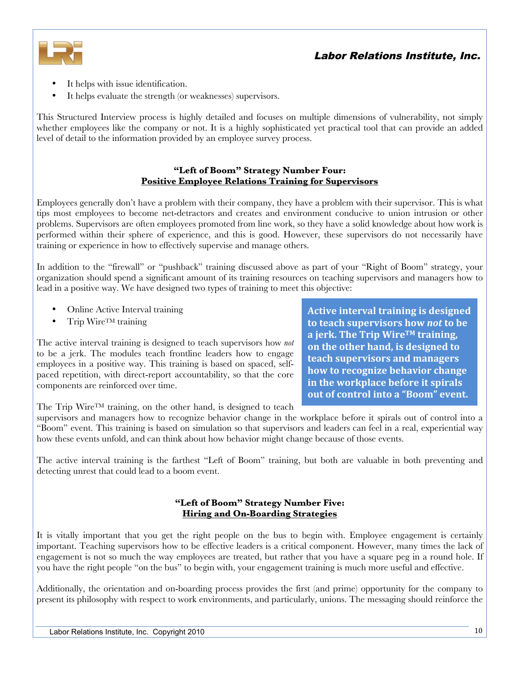



- It helps with issue identification.
- It helps evaluate the strength (or weaknesses) supervisors.

This Structured Interview process is highly detailed and focuses on multiple dimensions of vulnerability, not simply whether employees like the company or not. It is a highly sophisticated yet practical tool that can provide an added level of detail to the information provided by an employee survey process.

#### **"Left of Boom" Strategy Number Four: Positive Employee Relations Training for Supervisors**

Employees generally don't have a problem with their company, they have a problem with their supervisor. This is what tips most employees to become net-detractors and creates and environment conducive to union intrusion or other problems. Supervisors are often employees promoted from line work, so they have a solid knowledge about how work is performed within their sphere of experience, and this is good. However, these supervisors do not necessarily have training or experience in how to effectively supervise and manage others.

In addition to the "firewall" or "pushback" training discussed above as part of your "Right of Boom" strategy, your organization should spend a significant amount of its training resources on teaching supervisors and managers how to lead in a positive way. We have designed two types of training to meet this objective:

- Online Active Interval training
- Trip Wire<sup>TM</sup> training

The active interval training is designed to teach supervisors how *not* to be a jerk. The modules teach frontline leaders how to engage employees in a positive way. This training is based on spaced, selfpaced repetition, with direct-report accountability, so that the core components are reinforced over time.

**Active interval training is designed to teach supervisors how** *not* **to be a%jerk.%The%Trip%WireTM%training,% on the other hand, is designed to teach%supervisors%and%managers% how to recognize behavior change in the workplace before it spirals out of control into a "Boom" event.** 

The Trip Wire<sup>TM</sup> training, on the other hand, is designed to teach

supervisors and managers how to recognize behavior change in the workplace before it spirals out of control into a "Boom" event. This training is based on simulation so that supervisors and leaders can feel in a real, experiential way how these events unfold, and can think about how behavior might change because of those events.

The active interval training is the farthest "Left of Boom" training, but both are valuable in both preventing and detecting unrest that could lead to a boom event.

#### **"Left of Boom" Strategy Number Five: Hiring and On-Boarding Strategies**

It is vitally important that you get the right people on the bus to begin with. Employee engagement is certainly important. Teaching supervisors how to be effective leaders is a critical component. However, many times the lack of engagement is not so much the way employees are treated, but rather that you have a square peg in a round hole. If you have the right people "on the bus" to begin with, your engagement training is much more useful and effective.

Additionally, the orientation and on-boarding process provides the first (and prime) opportunity for the company to present its philosophy with respect to work environments, and particularly, unions. The messaging should reinforce the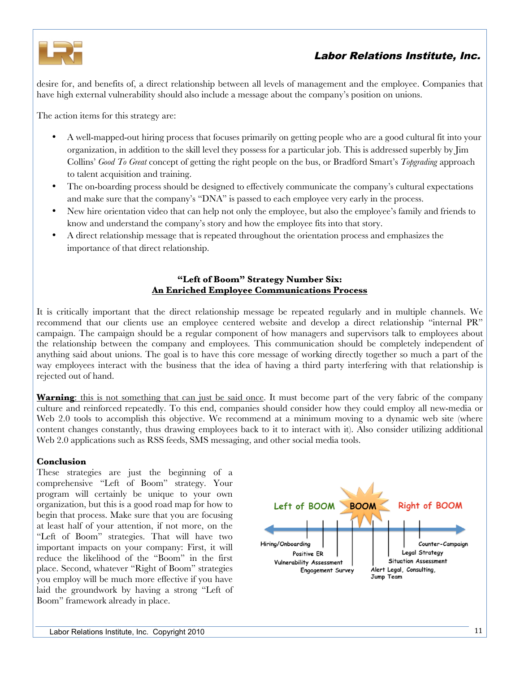

desire for, and benefits of, a direct relationship between all levels of management and the employee. Companies that have high external vulnerability should also include a message about the company's position on unions.

The action items for this strategy are:

- A well-mapped-out hiring process that focuses primarily on getting people who are a good cultural fit into your organization, in addition to the skill level they possess for a particular job. This is addressed superbly by Jim Collins' *[Good To Great](http://www.amazon.com/Good-Great-Companies-Leap-Others/dp/0066621003/ref=sr_1_1?ie=UTF8&s=books&qid=1270140998&sr=8-1)* concept of getting the right people on the bus, or Bradford Smart's *[Topgrading](http://www.amazon.com/Topgrading-Leading-Companies-Coaching-Keeping/dp/B000BOB2SO/ref=sr_1_1?ie=UTF8&s=books&qid=1270141027&sr=1-1)* approach to talent acquisition and training.
- The on-boarding process should be designed to effectively communicate the company's cultural expectations and make sure that the company's "DNA" is passed to each employee very early in the process.
- New hire orientation video that can help not only the employee, but also the employee's family and friends to know and understand the company's story and how the employee fits into that story.
- A direct relationship message that is repeated throughout the orientation process and emphasizes the importance of that direct relationship.

### **"Left of Boom" Strategy Number Six: An Enriched Employee Communications Process**

It is critically important that the direct relationship message be repeated regularly and in multiple channels. We recommend that our clients use an employee centered website and develop a direct relationship "internal PR" campaign. The campaign should be a regular component of how managers and supervisors talk to employees about the relationship between the company and employees. This communication should be completely independent of anything said about unions. The goal is to have this core message of working directly together so much a part of the way employees interact with the business that the idea of having a third party interfering with that relationship is rejected out of hand.

**Warning**: this is not something that can just be said once. It must become part of the very fabric of the company culture and reinforced repeatedly. To this end, companies should consider how they could employ all new-media or Web 2.0 tools to accomplish this objective. We recommend at a minimum moving to a dynamic web site (where content changes constantly, thus drawing employees back to it to interact with it). Also consider utilizing additional Web 2.0 applications such as RSS feeds, SMS messaging, and other social media tools.

### **Conclusion**

These strategies are just the beginning of a comprehensive "Left of Boom" strategy. Your program will certainly be unique to your own organization, but this is a good road map for how to begin that process. Make sure that you are focusing at least half of your attention, if not more, on the "Left of Boom" strategies. That will have two important impacts on your company: First, it will reduce the likelihood of the "Boom" in the first place. Second, whatever "Right of Boom" strategies you employ will be much more effective if you have laid the groundwork by having a strong "Left of Boom" framework already in place.

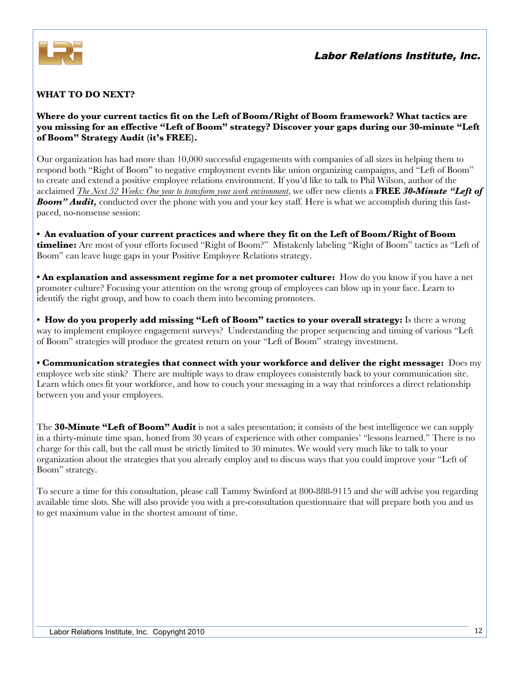

### **WHAT TO DO NEXT?**

**Where do your current tactics fit on the Left of Boom/Right of Boom framework? What tactics are you missing for an effective "Left of Boom" strategy? Discover your gaps during our 30-minute "Left of Boom" Strategy Audit (it's FREE).**

Our organization has had more than 10,000 successful engagements with companies of all sizes in helping them to respond both "Right of Boom" to negative employment events like union organizing campaigns, and "Left of Boom" to create and extend a positive employee relations environment. If you'd like to talk to Phil Wilson, author of the acclaimed *[The Next 52 Weeks: One year to transform your work environment](http://lrionline.com/store/publications/52-weeks-year-transform-workplace)*, we offer new clients a **FREE** *30-Minute "Left of Boom" Audit,* conducted over the phone with you and your key staff. Here is what we accomplish during this fastpaced, no-nonsense session:

**• An evaluation of your current practices and where they fit on the Left of Boom/Right of Boom timeline:** Are most of your efforts focused "Right of Boom?" Mistakenly labeling "Right of Boom" tactics as "Left of Boom" can leave huge gaps in your Positive Employee Relations strategy.

**• An explanation and assessment regime for a net promoter culture:** How do you know if you have a net promoter culture? Focusing your attention on the wrong group of employees can blow up in your face. Learn to identify the right group, and how to coach them into becoming promoters.

**• How do you properly add missing "Left of Boom" tactics to your overall strategy:** Is there a wrong way to implement employee engagement surveys? Understanding the proper sequencing and timing of various "Left of Boom" strategies will produce the greatest return on your "Left of Boom" strategy investment.

**• Communication strategies that connect with your workforce and deliver the right message:** Does my employee web site stink? There are multiple ways to draw employees consistently back to your communication site. Learn which ones fit your workforce, and how to couch your messaging in a way that reinforces a direct relationship between you and your employees.

The **30-Minute "Left of Boom" Audit** is not a sales presentation; it consists of the best intelligence we can supply in a thirty-minute time span, honed from 30 years of experience with other companies' "lessons learned." There is no charge for this call, but the call must be strictly limited to 30 minutes. We would very much like to talk to your organization about the strategies that you already employ and to discuss ways that you could improve your "Left of Boom" strategy.

To secure a time for this consultation, please call Tammy Swinford at 800-888-9115 and she will advise you regarding available time slots. She will also provide you with a pre-consultation questionnaire that will prepare both you and us to get maximum value in the shortest amount of time.